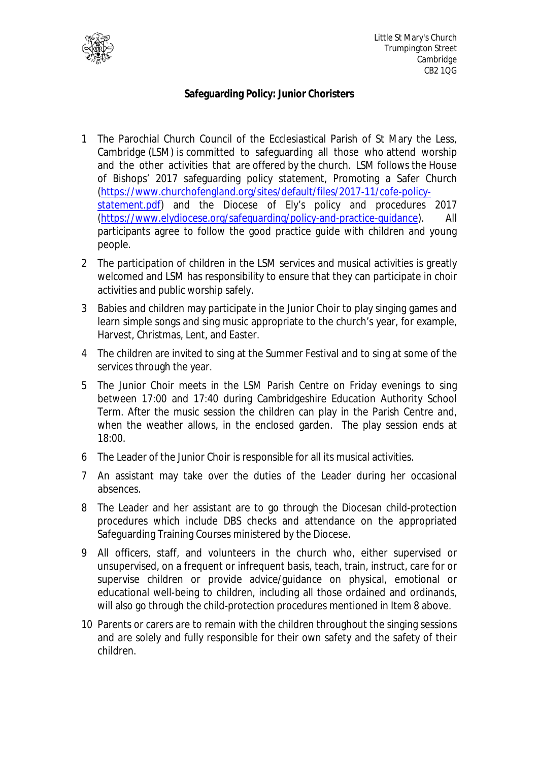

## **Safeguarding Policy: Junior Choristers**

- 1 The Parochial Church Council of the Ecclesiastical Parish of St Mary the Less, Cambridge (LSM) is committed to safeguarding all those who attend worship and the other activities that are offered by the church. LSM follows the House of Bishops' 2017 safeguarding policy statement, Promoting a Safer Church (https://www.churchofengland.org/sites/default/files/2017-11/cofe-policystatement.pdf) and the Diocese of Ely's policy and procedures 2017 (https://www.elydiocese.org/safeguarding/policy-and-practice-guidance). All participants agree to follow the good practice guide with children and young people.
- 2 The participation of children in the LSM services and musical activities is greatly welcomed and LSM has responsibility to ensure that they can participate in choir activities and public worship safely.
- 3 Babies and children may participate in the Junior Choir to play singing games and learn simple songs and sing music appropriate to the church's year, for example, Harvest, Christmas, Lent, and Easter.
- 4 The children are invited to sing at the Summer Festival and to sing at some of the services through the year.
- 5 The Junior Choir meets in the LSM Parish Centre on Friday evenings to sing between 17:00 and 17:40 during Cambridgeshire Education Authority School Term. After the music session the children can play in the Parish Centre and, when the weather allows, in the enclosed garden. The play session ends at 18:00.
- 6 The Leader of the Junior Choir is responsible for all its musical activities.
- 7 An assistant may take over the duties of the Leader during her occasional absences.
- 8 The Leader and her assistant are to go through the Diocesan child-protection procedures which include DBS checks and attendance on the appropriated Safeguarding Training Courses ministered by the Diocese.
- 9 All officers, staff, and volunteers in the church who, either supervised or unsupervised, on a frequent or infrequent basis, teach, train, instruct, care for or supervise children or provide advice/guidance on physical, emotional or educational well-being to children, including all those ordained and ordinands, will also go through the child-protection procedures mentioned in Item 8 above.
- 10 Parents or carers are to remain with the children throughout the singing sessions and are solely and fully responsible for their own safety and the safety of their children.